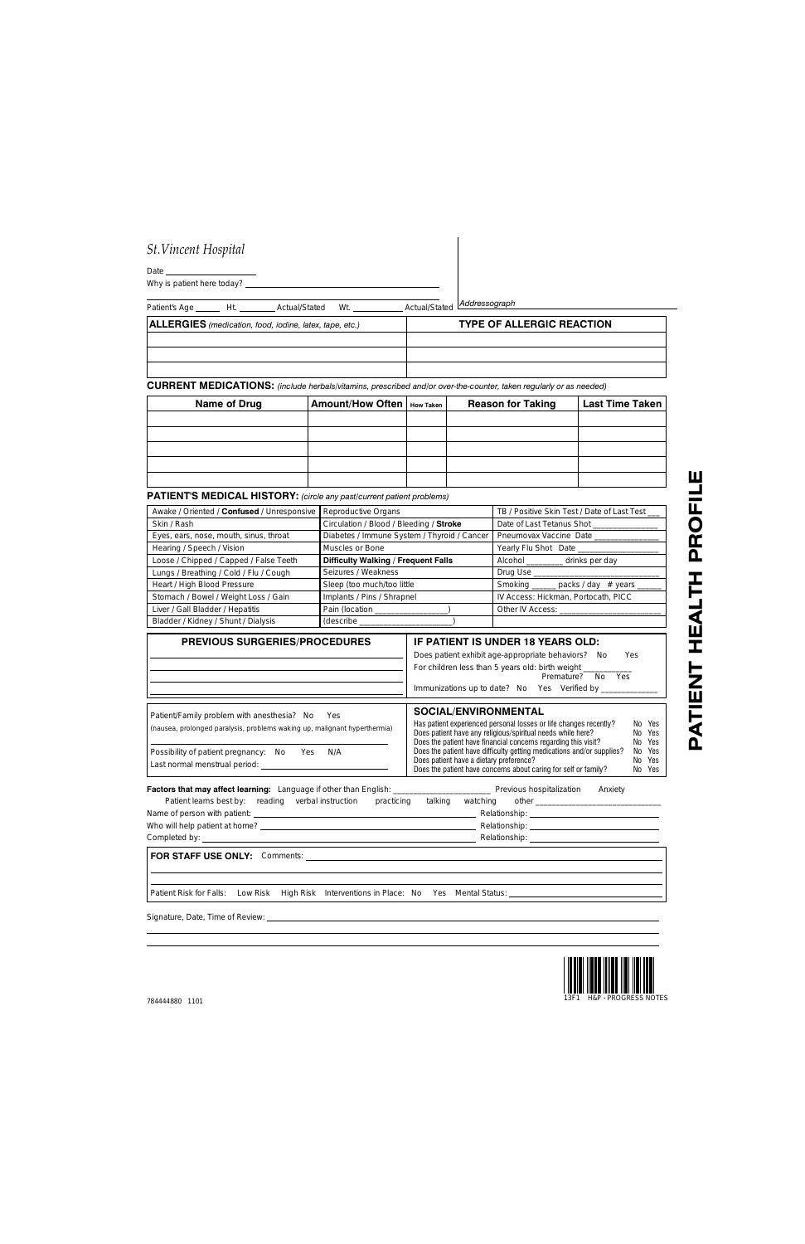## *St.Vincent Hospital*

| Date |                            |
|------|----------------------------|
|      | Why is patient here today? |

| Patient's Age Ht. Actual/Stated<br>Wt.                  | Actual/Stated Addressograph      |
|---------------------------------------------------------|----------------------------------|
| ALLERGIES (medication, food, iodine, latex, tape, etc.) | <b>TYPE OF ALLERGIC REACTION</b> |
|                                                         |                                  |
|                                                         |                                  |
|                                                         |                                  |

**CURRENT MEDICATIONS:** *(include herbals/vitamins, prescribed and/or over-the-counter, taken regularly or as needed)*

| Name of Drug | Amount/How Often   How Taken | <b>Reason for Taking</b> | <b>Last Time Taken</b> |
|--------------|------------------------------|--------------------------|------------------------|
|              |                              |                          |                        |
|              |                              |                          |                        |
|              |                              |                          |                        |
|              |                              |                          |                        |
|              |                              |                          |                        |

**PATIENT'S MEDICAL HISTORY:** *(circle any past/current patient problems)*

| Awake / Oriented / Confused / Unresponsive   Reproductive Organs |                                             | TB / Positive Skin Test / Date of Last Test __ |  |
|------------------------------------------------------------------|---------------------------------------------|------------------------------------------------|--|
| Skin / Rash                                                      | Circulation / Blood / Bleeding / Stroke     | Date of Last Tetanus Shot                      |  |
| Eyes, ears, nose, mouth, sinus, throat                           | Diabetes / Immune System / Thyroid / Cancer | Pneumovax Vaccine Date                         |  |
| Hearing / Speech / Vision                                        | Muscles or Bone                             | Yearly Flu Shot Date                           |  |
| Loose / Chipped / Capped / False Teeth                           | Difficulty Walking / Frequent Falls         | Alcohol ___________ drinks per day             |  |
| Lungs / Breathing / Cold / Flu / Cough                           | Seizures / Weakness                         | Drug Use                                       |  |
| Heart / High Blood Pressure                                      | Sleep (too much/too little                  | Smoking ______ packs / day # years ___         |  |
| Stomach / Bowel / Weight Loss / Gain                             | Implants / Pins / Shrapnel                  | IV Access: Hickman, Portocath, PICC            |  |
| Liver / Gall Bladder / Hepatitis                                 | Pain (location _                            | Other IV Access:                               |  |
| Bladder / Kidney / Shunt / Dialysis                              | (describe                                   |                                                |  |

| <b>PREVIOUS SURGERIES/PROCEDURES</b>                                      | IF PATIENT IS UNDER 18 YEARS OLD:                                               |  |  |  |
|---------------------------------------------------------------------------|---------------------------------------------------------------------------------|--|--|--|
|                                                                           | Does patient exhibit age-appropriate behaviors?<br><b>Yes</b><br>No.            |  |  |  |
|                                                                           | For children less than 5 years old: birth weight<br>Premature?<br>Yes<br>No.    |  |  |  |
|                                                                           | Immunizations up to date? No Yes Verified by                                    |  |  |  |
|                                                                           |                                                                                 |  |  |  |
| Patient/Family problem with anesthesia? No<br><b>Yes</b>                  | SOCIAL/ENVIRONMENTAL                                                            |  |  |  |
| (nausea, prolonged paralysis, problems waking up, malignant hyperthermia) | Has patient experienced personal losses or life changes recently?<br>No Yes     |  |  |  |
|                                                                           | Does patient have any religious/spiritual needs while here?<br>No Yes           |  |  |  |
|                                                                           | Does the patient have financial concerns regarding this visit?<br>No Yes        |  |  |  |
| Possibility of patient pregnancy: No<br>N/A<br>Yes                        | Does the patient have difficulty getting medications and/or supplies?<br>No Yes |  |  |  |
| Last normal menstrual period:                                             | Does patient have a dietary preference?<br>No Yes                               |  |  |  |
|                                                                           | Does the patient have concerns about caring for self or family?<br>No Yes       |  |  |  |

|                                                               | Previous hospitalization<br>Anxiety    |
|---------------------------------------------------------------|----------------------------------------|
| Patient learns best by: reading verbal instruction practicing | talking                                |
|                                                               |                                        |
|                                                               | Relationship: ________________________ |
|                                                               |                                        |
|                                                               |                                        |
|                                                               |                                        |

Does the patient have concerns about caring for self or family?

Patient Risk for Falls: Low Risk High Risk Interventions in Place: No Yes Mental Status:

Signature, Date, Time of Review: \_